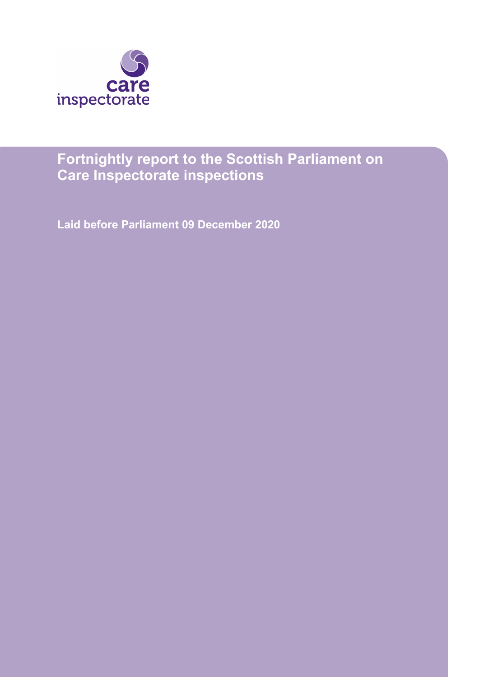

# **Fortnightly report to the Scottish Parliament on Care Inspectorate inspections**

**Laid before Parliament 09 December 2020**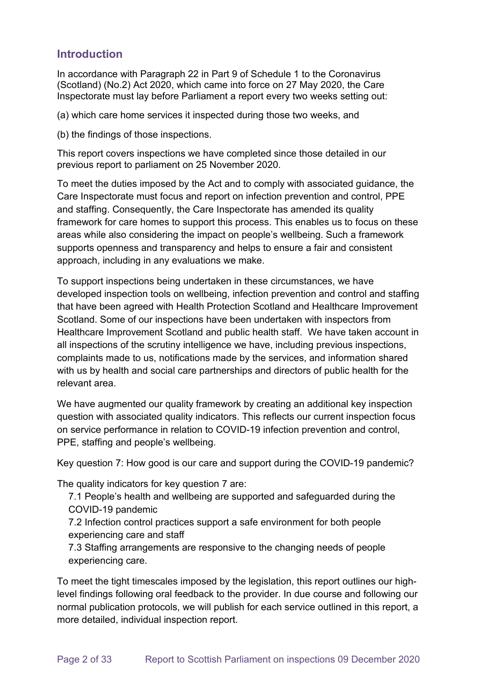# **Introduction**

In accordance with Paragraph 22 in Part 9 of Schedule 1 to the Coronavirus (Scotland) (No.2) Act 2020, which came into force on 27 May 2020, the Care Inspectorate must lay before Parliament a report every two weeks setting out:

(a) which care home services it inspected during those two weeks, and

(b) the findings of those inspections.

This report covers inspections we have completed since those detailed in our previous report to parliament on 25 November 2020.

To meet the duties imposed by the Act and to comply with associated guidance, the Care Inspectorate must focus and report on infection prevention and control, PPE and staffing. Consequently, the Care Inspectorate has amended its quality framework for care homes to support this process. This enables us to focus on these areas while also considering the impact on people's wellbeing. Such a framework supports openness and transparency and helps to ensure a fair and consistent approach, including in any evaluations we make.

To support inspections being undertaken in these circumstances, we have developed inspection tools on wellbeing, infection prevention and control and staffing that have been agreed with Health Protection Scotland and Healthcare Improvement Scotland. Some of our inspections have been undertaken with inspectors from Healthcare Improvement Scotland and public health staff. We have taken account in all inspections of the scrutiny intelligence we have, including previous inspections, complaints made to us, notifications made by the services, and information shared with us by health and social care partnerships and directors of public health for the relevant area.

We have augmented our quality framework by creating an additional key inspection question with associated quality indicators. This reflects our current inspection focus on service performance in relation to COVID-19 infection prevention and control, PPE, staffing and people's wellbeing.

Key question 7: How good is our care and support during the COVID-19 pandemic?

The quality indicators for key question 7 are:

7.1 People's health and wellbeing are supported and safeguarded during the COVID-19 pandemic

7.2 Infection control practices support a safe environment for both people experiencing care and staff

7.3 Staffing arrangements are responsive to the changing needs of people experiencing care.

To meet the tight timescales imposed by the legislation, this report outlines our highlevel findings following oral feedback to the provider. In due course and following our normal publication protocols, we will publish for each service outlined in this report, a more detailed, individual inspection report.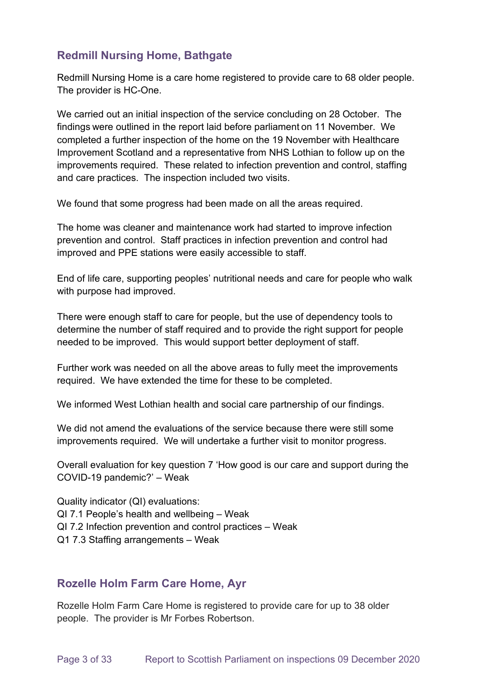# **Redmill Nursing Home, Bathgate**

Redmill Nursing Home is a care home registered to provide care to 68 older people. The provider is HC-One.

We carried out an initial inspection of the service concluding on 28 October. The findings were outlined in the report laid before parliament on 11 November. We completed a further inspection of the home on the 19 November with Healthcare Improvement Scotland and a representative from NHS Lothian to follow up on the improvements required. These related to infection prevention and control, staffing and care practices. The inspection included two visits.

We found that some progress had been made on all the areas required.

The home was cleaner and maintenance work had started to improve infection prevention and control. Staff practices in infection prevention and control had improved and PPE stations were easily accessible to staff.

End of life care, supporting peoples' nutritional needs and care for people who walk with purpose had improved.

There were enough staff to care for people, but the use of dependency tools to determine the number of staff required and to provide the right support for people needed to be improved. This would support better deployment of staff.

Further work was needed on all the above areas to fully meet the improvements required. We have extended the time for these to be completed.

We informed West Lothian health and social care partnership of our findings.

We did not amend the evaluations of the service because there were still some improvements required. We will undertake a further visit to monitor progress.

Overall evaluation for key question 7 'How good is our care and support during the COVID-19 pandemic?' – Weak

Quality indicator (QI) evaluations: QI 7.1 People's health and wellbeing – Weak QI 7.2 Infection prevention and control practices – Weak Q1 7.3 Staffing arrangements – Weak

### **Rozelle Holm Farm Care Home, Ayr**

Rozelle Holm Farm Care Home is registered to provide care for up to 38 older people. The provider is Mr Forbes Robertson.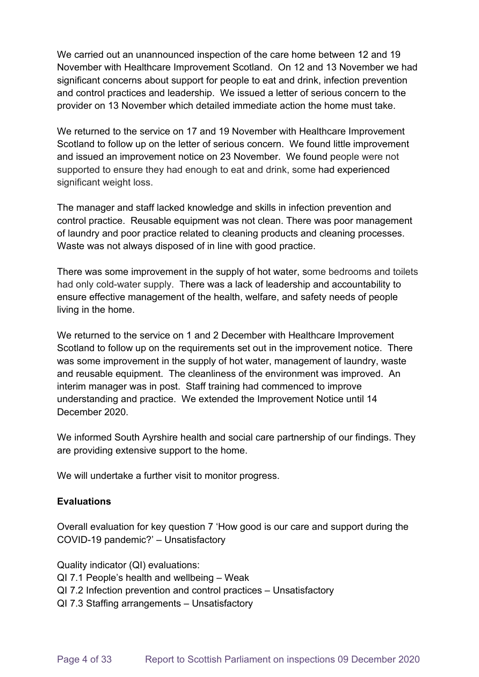We carried out an unannounced inspection of the care home between 12 and 19 November with Healthcare Improvement Scotland. On 12 and 13 November we had significant concerns about support for people to eat and drink, infection prevention and control practices and leadership. We issued a letter of serious concern to the provider on 13 November which detailed immediate action the home must take.

We returned to the service on 17 and 19 November with Healthcare Improvement Scotland to follow up on the letter of serious concern. We found little improvement and issued an improvement notice on 23 November. We found people were not supported to ensure they had enough to eat and drink, some had experienced significant weight loss.

The manager and staff lacked knowledge and skills in infection prevention and control practice. Reusable equipment was not clean. There was poor management of laundry and poor practice related to cleaning products and cleaning processes. Waste was not always disposed of in line with good practice.

There was some improvement in the supply of hot water, some bedrooms and toilets had only cold-water supply. There was a lack of leadership and accountability to ensure effective management of the health, welfare, and safety needs of people living in the home.

We returned to the service on 1 and 2 December with Healthcare Improvement Scotland to follow up on the requirements set out in the improvement notice. There was some improvement in the supply of hot water, management of laundry, waste and reusable equipment. The cleanliness of the environment was improved. An interim manager was in post. Staff training had commenced to improve understanding and practice. We extended the Improvement Notice until 14 December 2020.

We informed South Ayrshire health and social care partnership of our findings. They are providing extensive support to the home.

We will undertake a further visit to monitor progress.

#### **Evaluations**

Overall evaluation for key question 7 'How good is our care and support during the COVID-19 pandemic?' – Unsatisfactory

Quality indicator (QI) evaluations:

- QI 7.1 People's health and wellbeing Weak
- QI 7.2 Infection prevention and control practices Unsatisfactory
- QI 7.3 Staffing arrangements Unsatisfactory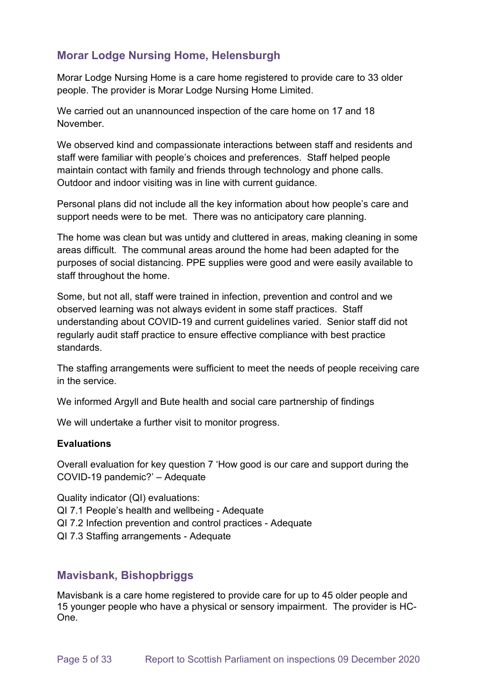# **Morar Lodge Nursing Home, Helensburgh**

Morar Lodge Nursing Home is a care home registered to provide care to 33 older people. The provider is Morar Lodge Nursing Home Limited.

We carried out an unannounced inspection of the care home on 17 and 18 November.

We observed kind and compassionate interactions between staff and residents and staff were familiar with people's choices and preferences. Staff helped people maintain contact with family and friends through technology and phone calls. Outdoor and indoor visiting was in line with current guidance.

Personal plans did not include all the key information about how people's care and support needs were to be met. There was no anticipatory care planning.

The home was clean but was untidy and cluttered in areas, making cleaning in some areas difficult. The communal areas around the home had been adapted for the purposes of social distancing. PPE supplies were good and were easily available to staff throughout the home.

Some, but not all, staff were trained in infection, prevention and control and we observed learning was not always evident in some staff practices. Staff understanding about COVID-19 and current guidelines varied. Senior staff did not regularly audit staff practice to ensure effective compliance with best practice standards.

The staffing arrangements were sufficient to meet the needs of people receiving care in the service.

We informed Argyll and Bute health and social care partnership of findings

We will undertake a further visit to monitor progress.

#### **Evaluations**

Overall evaluation for key question 7 'How good is our care and support during the COVID-19 pandemic?' – Adequate

Quality indicator (QI) evaluations:

- QI 7.1 People's health and wellbeing Adequate
- QI 7.2 Infection prevention and control practices Adequate
- QI 7.3 Staffing arrangements Adequate

# **Mavisbank, Bishopbriggs**

Mavisbank is a care home registered to provide care for up to 45 older people and 15 younger people who have a physical or sensory impairment. The provider is HC-One.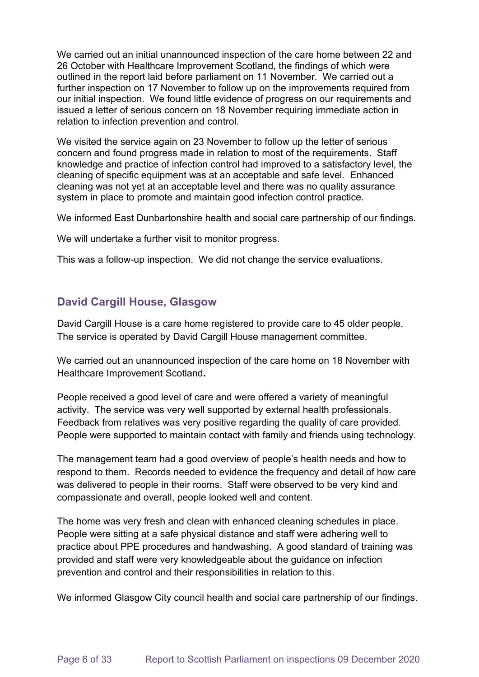We carried out an initial unannounced inspection of the care home between 22 and 26 October with Healthcare Improvement Scotland, the findings of which were outlined in the report laid before parliament on 11 November. We carried out a further inspection on 17 November to follow up on the improvements required from our initial inspection. We found little evidence of progress on our requirements and issued a letter of serious concern on 18 November requiring immediate action in relation to infection prevention and control.

We visited the service again on 23 November to follow up the letter of serious concern and found progress made in relation to most of the requirements. Staff knowledge and practice of infection control had improved to a satisfactory level, the cleaning of specific equipment was at an acceptable and safe level. Enhanced cleaning was not yet at an acceptable level and there was no quality assurance system in place to promote and maintain good infection control practice.

We informed East Dunbartonshire health and social care partnership of our findings.

We will undertake a further visit to monitor progress.

This was a follow-up inspection. We did not change the service evaluations.

# **David Cargill House, Glasgow**

David Cargill House is a care home registered to provide care to 45 older people.  The service is operated by David Cargill House management committee.

We carried out an unannounced inspection of the care home on 18 November with Healthcare Improvement Scotland**.**

People received a good level of care and were offered a variety of meaningful activity. The service was very well supported by external health professionals. Feedback from relatives was very positive regarding the quality of care provided. People were supported to maintain contact with family and friends using technology.

The management team had a good overview of people's health needs and how to respond to them. Records needed to evidence the frequency and detail of how care was delivered to people in their rooms. Staff were observed to be very kind and compassionate and overall, people looked well and content.

The home was very fresh and clean with enhanced cleaning schedules in place. People were sitting at a safe physical distance and staff were adhering well to practice about PPE procedures and handwashing. A good standard of training was provided and staff were very knowledgeable about the guidance on infection prevention and control and their responsibilities in relation to this.

We informed Glasgow City council health and social care partnership of our findings.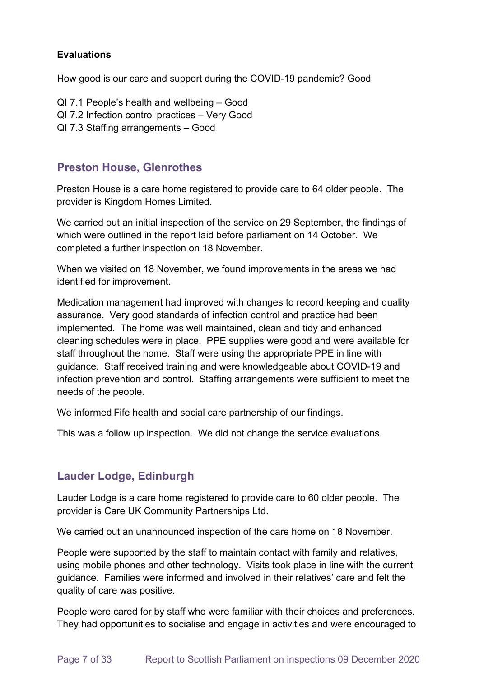#### **Evaluations**

How good is our care and support during the COVID-19 pandemic? Good

- QI 7.1 People's health and wellbeing Good
- QI 7.2 Infection control practices Very Good
- QI 7.3 Staffing arrangements Good

### **Preston House, Glenrothes**

Preston House is a care home registered to provide care to 64 older people. The provider is Kingdom Homes Limited.

We carried out an initial inspection of the service on 29 September, the findings of which were outlined in the report laid before parliament on 14 October. We completed a further inspection on 18 November.

When we visited on 18 November, we found improvements in the areas we had identified for improvement.

Medication management had improved with changes to record keeping and quality assurance. Very good standards of infection control and practice had been implemented. The home was well maintained, clean and tidy and enhanced cleaning schedules were in place. PPE supplies were good and were available for staff throughout the home. Staff were using the appropriate PPE in line with guidance. Staff received training and were knowledgeable about COVID-19 and infection prevention and control. Staffing arrangements were sufficient to meet the needs of the people.

We informed Fife health and social care partnership of our findings.

This was a follow up inspection. We did not change the service evaluations.

# **Lauder Lodge, Edinburgh**

Lauder Lodge is a care home registered to provide care to 60 older people. The provider is Care UK Community Partnerships Ltd.

We carried out an unannounced inspection of the care home on 18 November.

People were supported by the staff to maintain contact with family and relatives, using mobile phones and other technology. Visits took place in line with the current guidance. Families were informed and involved in their relatives' care and felt the quality of care was positive.

People were cared for by staff who were familiar with their choices and preferences. They had opportunities to socialise and engage in activities and were encouraged to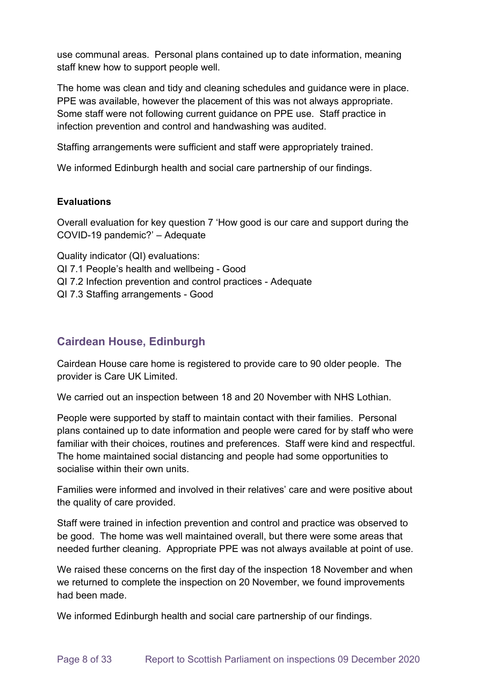use communal areas. Personal plans contained up to date information, meaning staff knew how to support people well.

The home was clean and tidy and cleaning schedules and guidance were in place. PPE was available, however the placement of this was not always appropriate. Some staff were not following current guidance on PPE use. Staff practice in infection prevention and control and handwashing was audited.

Staffing arrangements were sufficient and staff were appropriately trained.

We informed Edinburgh health and social care partnership of our findings.

#### **Evaluations**

Overall evaluation for key question 7 'How good is our care and support during the COVID-19 pandemic?' – Adequate

Quality indicator (QI) evaluations: QI 7.1 People's health and wellbeing - Good QI 7.2 Infection prevention and control practices - Adequate QI 7.3 Staffing arrangements - Good

# **Cairdean House, Edinburgh**

Cairdean House care home is registered to provide care to 90 older people. The provider is Care UK Limited.

We carried out an inspection between 18 and 20 November with NHS Lothian.

People were supported by staff to maintain contact with their families. Personal plans contained up to date information and people were cared for by staff who were familiar with their choices, routines and preferences. Staff were kind and respectful. The home maintained social distancing and people had some opportunities to socialise within their own units.

Families were informed and involved in their relatives' care and were positive about the quality of care provided.

Staff were trained in infection prevention and control and practice was observed to be good. The home was well maintained overall, but there were some areas that needed further cleaning. Appropriate PPE was not always available at point of use.

We raised these concerns on the first day of the inspection 18 November and when we returned to complete the inspection on 20 November, we found improvements had been made.

We informed Edinburgh health and social care partnership of our findings.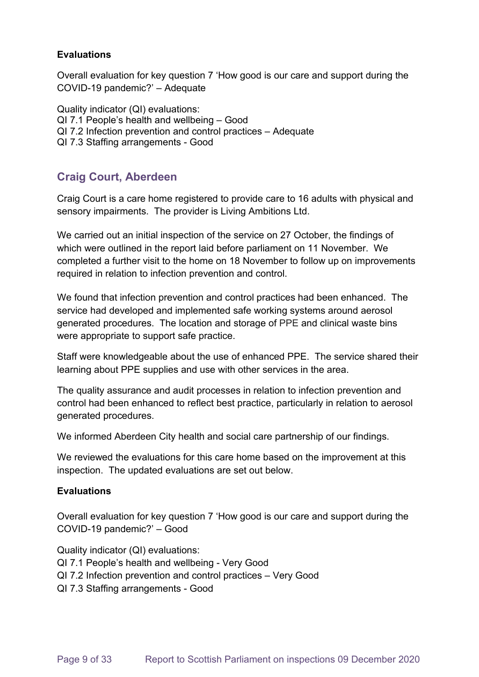#### **Evaluations**

Overall evaluation for key question 7 'How good is our care and support during the COVID-19 pandemic?' – Adequate

Quality indicator (QI) evaluations: QI 7.1 People's health and wellbeing – Good QI 7.2 Infection prevention and control practices – Adequate QI 7.3 Staffing arrangements - Good

# **Craig Court, Aberdeen**

Craig Court is a care home registered to provide care to 16 adults with physical and sensory impairments. The provider is Living Ambitions Ltd.

We carried out an initial inspection of the service on 27 October, the findings of which were outlined in the report laid before parliament on 11 November. We completed a further visit to the home on 18 November to follow up on improvements required in relation to infection prevention and control.

We found that infection prevention and control practices had been enhanced. The service had developed and implemented safe working systems around aerosol generated procedures. The location and storage of PPE and clinical waste bins were appropriate to support safe practice.

Staff were knowledgeable about the use of enhanced PPE. The service shared their learning about PPE supplies and use with other services in the area.

The quality assurance and audit processes in relation to infection prevention and control had been enhanced to reflect best practice, particularly in relation to aerosol generated procedures.

We informed Aberdeen City health and social care partnership of our findings.

We reviewed the evaluations for this care home based on the improvement at this inspection. The updated evaluations are set out below.

#### **Evaluations**

Overall evaluation for key question 7 'How good is our care and support during the COVID-19 pandemic?' – Good

Quality indicator (QI) evaluations: QI 7.1 People's health and wellbeing - Very Good QI 7.2 Infection prevention and control practices – Very Good QI 7.3 Staffing arrangements - Good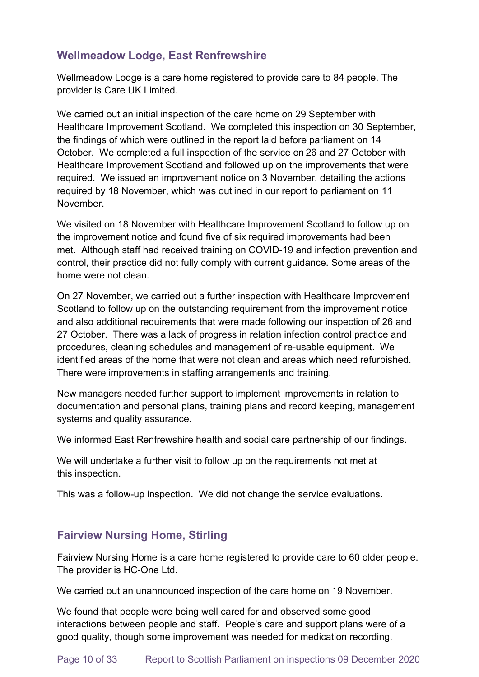# **Wellmeadow Lodge, East Renfrewshire**

Wellmeadow Lodge is a care home registered to provide care to 84 people. The provider is Care UK Limited.

We carried out an initial inspection of the care home on 29 September with Healthcare Improvement Scotland. We completed this inspection on 30 September, the findings of which were outlined in the report laid before parliament on 14 October. We completed a full inspection of the service on 26 and 27 October with Healthcare Improvement Scotland and followed up on the improvements that were required. We issued an improvement notice on 3 November, detailing the actions required by 18 November, which was outlined in our report to parliament on 11 November.

We visited on 18 November with Healthcare Improvement Scotland to follow up on the improvement notice and found five of six required improvements had been met. Although staff had received training on COVID-19 and infection prevention and control, their practice did not fully comply with current guidance. Some areas of the home were not clean.

On 27 November, we carried out a further inspection with Healthcare Improvement Scotland to follow up on the outstanding requirement from the improvement notice and also additional requirements that were made following our inspection of 26 and 27 October. There was a lack of progress in relation infection control practice and procedures, cleaning schedules and management of re-usable equipment. We identified areas of the home that were not clean and areas which need refurbished. There were improvements in staffing arrangements and training.

New managers needed further support to implement improvements in relation to documentation and personal plans, training plans and record keeping, management systems and quality assurance.

We informed East Renfrewshire health and social care partnership of our findings.

We will undertake a further visit to follow up on the requirements not met at this inspection.

This was a follow-up inspection. We did not change the service evaluations.

# **Fairview Nursing Home, Stirling**

Fairview Nursing Home is a care home registered to provide care to 60 older people. The provider is HC-One Ltd.

We carried out an unannounced inspection of the care home on 19 November.

We found that people were being well cared for and observed some good interactions between people and staff. People's care and support plans were of a good quality, though some improvement was needed for medication recording.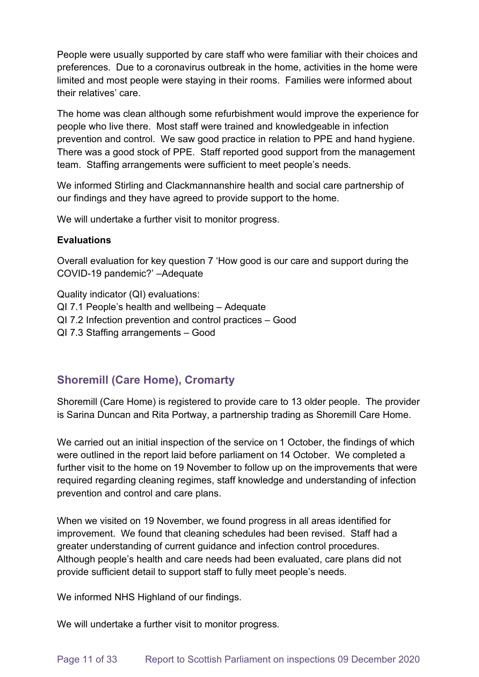People were usually supported by care staff who were familiar with their choices and preferences. Due to a coronavirus outbreak in the home, activities in the home were limited and most people were staying in their rooms. Families were informed about their relatives' care.

The home was clean although some refurbishment would improve the experience for people who live there. Most staff were trained and knowledgeable in infection prevention and control. We saw good practice in relation to PPE and hand hygiene. There was a good stock of PPE. Staff reported good support from the management team. Staffing arrangements were sufficient to meet people's needs.

We informed Stirling and Clackmannanshire health and social care partnership of our findings and they have agreed to provide support to the home.

We will undertake a further visit to monitor progress.

#### **Evaluations**

Overall evaluation for key question 7 'How good is our care and support during the COVID-19 pandemic?' –Adequate

Quality indicator (QI) evaluations: QI 7.1 People's health and wellbeing – Adequate QI 7.2 Infection prevention and control practices – Good QI 7.3 Staffing arrangements – Good

# **Shoremill (Care Home), Cromarty**

Shoremill (Care Home) is registered to provide care to 13 older people. The provider is Sarina Duncan and Rita Portway, a partnership trading as Shoremill Care Home. 

We carried out an initial inspection of the service on 1 October, the findings of which were outlined in the report laid before parliament on 14 October. We completed a further visit to the home on 19 November to follow up on the improvements that were required regarding cleaning regimes, staff knowledge and understanding of infection prevention and control and care plans.

When we visited on 19 November, we found progress in all areas identified for improvement. We found that cleaning schedules had been revised. Staff had a greater understanding of current guidance and infection control procedures. Although people's health and care needs had been evaluated, care plans did not provide sufficient detail to support staff to fully meet people's needs.

We informed NHS Highland of our findings.

We will undertake a further visit to monitor progress.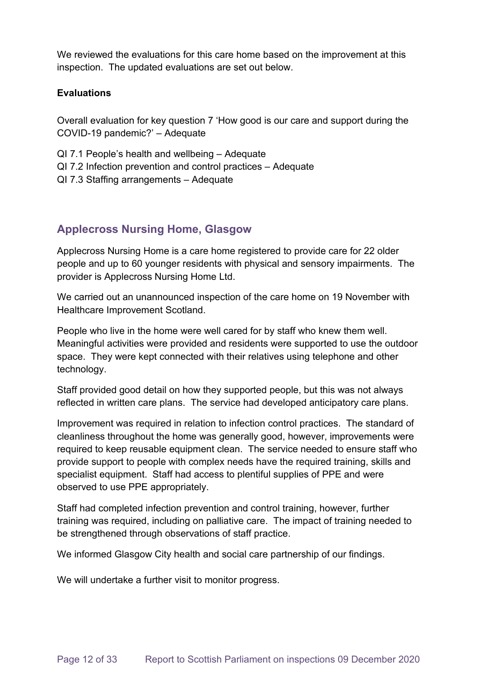We reviewed the evaluations for this care home based on the improvement at this inspection. The updated evaluations are set out below.

#### **Evaluations**

Overall evaluation for key question 7 'How good is our care and support during the COVID-19 pandemic?' – Adequate

- QI 7.1 People's health and wellbeing Adequate
- QI 7.2 Infection prevention and control practices Adequate
- QI 7.3 Staffing arrangements Adequate

# **Applecross Nursing Home, Glasgow**

Applecross Nursing Home is a care home registered to provide care for 22 older people and up to 60 younger residents with physical and sensory impairments. The provider is Applecross Nursing Home Ltd.

We carried out an unannounced inspection of the care home on 19 November with Healthcare Improvement Scotland.

People who live in the home were well cared for by staff who knew them well. Meaningful activities were provided and residents were supported to use the outdoor space. They were kept connected with their relatives using telephone and other technology.

Staff provided good detail on how they supported people, but this was not always reflected in written care plans. The service had developed anticipatory care plans.

Improvement was required in relation to infection control practices. The standard of cleanliness throughout the home was generally good, however, improvements were required to keep reusable equipment clean. The service needed to ensure staff who provide support to people with complex needs have the required training, skills and specialist equipment. Staff had access to plentiful supplies of PPE and were observed to use PPE appropriately.

Staff had completed infection prevention and control training, however, further training was required, including on palliative care. The impact of training needed to be strengthened through observations of staff practice.

We informed Glasgow City health and social care partnership of our findings.

We will undertake a further visit to monitor progress.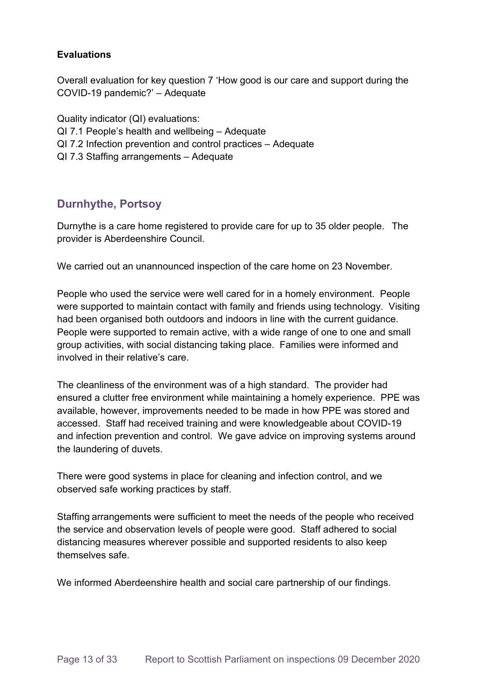#### **Evaluations**

Overall evaluation for key question 7 'How good is our care and support during the COVID-19 pandemic?' – Adequate

Quality indicator (QI) evaluations: QI 7.1 People's health and wellbeing – Adequate QI 7.2 Infection prevention and control practices – Adequate QI 7.3 Staffing arrangements – Adequate

# **Durnhythe, Portsoy**

Durnythe is a care home registered to provide care for up to 35 older people.   The provider is Aberdeenshire Council. 

We carried out an unannounced inspection of the care home on 23 November.

People who used the service were well cared for in a homely environment. People were supported to maintain contact with family and friends using technology. Visiting had been organised both outdoors and indoors in line with the current guidance. People were supported to remain active, with a wide range of one to one and small group activities, with social distancing taking place. Families were informed and involved in their relative's care.

The cleanliness of the environment was of a high standard. The provider had ensured a clutter free environment while maintaining a homely experience. PPE was available, however, improvements needed to be made in how PPE was stored and accessed. Staff had received training and were knowledgeable about COVID-19 and infection prevention and control. We gave advice on improving systems around the laundering of duvets.

There were good systems in place for cleaning and infection control, and we observed safe working practices by staff.

Staffing arrangements were sufficient to meet the needs of the people who received the service and observation levels of people were good. Staff adhered to social distancing measures wherever possible and supported residents to also keep themselves safe.

We informed Aberdeenshire health and social care partnership of our findings.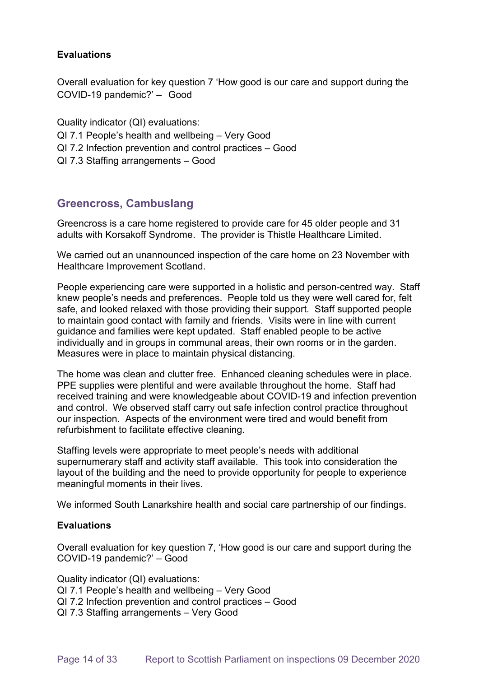#### **Evaluations**

Overall evaluation for key question 7 'How good is our care and support during the COVID-19 pandemic?' –   Good

Quality indicator (QI) evaluations: QI 7.1 People's health and wellbeing – Very Good QI 7.2 Infection prevention and control practices – Good QI 7.3 Staffing arrangements – Good

### **Greencross, Cambuslang**

Greencross is a care home registered to provide care for 45 older people and 31 adults with Korsakoff Syndrome. The provider is Thistle Healthcare Limited.

We carried out an unannounced inspection of the care home on 23 November with Healthcare Improvement Scotland.

People experiencing care were supported in a holistic and person-centred way. Staff knew people's needs and preferences. People told us they were well cared for, felt safe, and looked relaxed with those providing their support. Staff supported people to maintain good contact with family and friends. Visits were in line with current guidance and families were kept updated. Staff enabled people to be active individually and in groups in communal areas, their own rooms or in the garden. Measures were in place to maintain physical distancing.

The home was clean and clutter free. Enhanced cleaning schedules were in place. PPE supplies were plentiful and were available throughout the home. Staff had received training and were knowledgeable about COVID-19 and infection prevention and control. We observed staff carry out safe infection control practice throughout our inspection. Aspects of the environment were tired and would benefit from refurbishment to facilitate effective cleaning.

Staffing levels were appropriate to meet people's needs with additional supernumerary staff and activity staff available. This took into consideration the layout of the building and the need to provide opportunity for people to experience meaningful moments in their lives.

We informed South Lanarkshire health and social care partnership of our findings.

#### **Evaluations**

Overall evaluation for key question 7, 'How good is our care and support during the COVID-19 pandemic?' – Good

Quality indicator (QI) evaluations:

- QI 7.1 People's health and wellbeing Very Good
- QI 7.2 Infection prevention and control practices Good
- QI 7.3 Staffing arrangements Very Good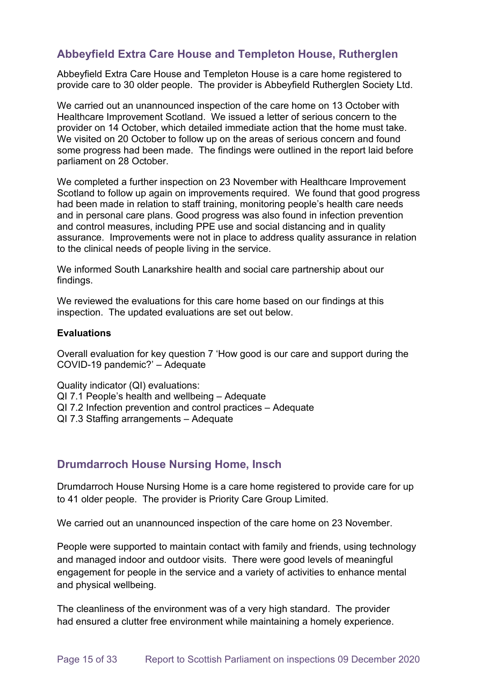### **Abbeyfield Extra Care House and Templeton House, Rutherglen**

Abbeyfield Extra Care House and Templeton House is a care home registered to provide care to 30 older people. The provider is Abbeyfield Rutherglen Society Ltd.

We carried out an unannounced inspection of the care home on 13 October with Healthcare Improvement Scotland. We issued a letter of serious concern to the provider on 14 October, which detailed immediate action that the home must take. We visited on 20 October to follow up on the areas of serious concern and found some progress had been made. The findings were outlined in the report laid before parliament on 28 October.

We completed a further inspection on 23 November with Healthcare Improvement Scotland to follow up again on improvements required. We found that good progress had been made in relation to staff training, monitoring people's health care needs and in personal care plans. Good progress was also found in infection prevention and control measures, including PPE use and social distancing and in quality assurance. Improvements were not in place to address quality assurance in relation to the clinical needs of people living in the service.

We informed South Lanarkshire health and social care partnership about our findings.

We reviewed the evaluations for this care home based on our findings at this inspection. The updated evaluations are set out below.

#### **Evaluations**

Overall evaluation for key question 7 'How good is our care and support during the COVID-19 pandemic?' – Adequate

Quality indicator (QI) evaluations: QI 7.1 People's health and wellbeing – Adequate QI 7.2 Infection prevention and control practices – Adequate QI 7.3 Staffing arrangements – Adequate

### **Drumdarroch House Nursing Home, Insch**

Drumdarroch House Nursing Home is a care home registered to provide care for up to 41 older people. The provider is Priority Care Group Limited.

We carried out an unannounced inspection of the care home on 23 November.

People were supported to maintain contact with family and friends, using technology and managed indoor and outdoor visits. There were good levels of meaningful engagement for people in the service and a variety of activities to enhance mental and physical wellbeing.

The cleanliness of the environment was of a very high standard. The provider had ensured a clutter free environment while maintaining a homely experience.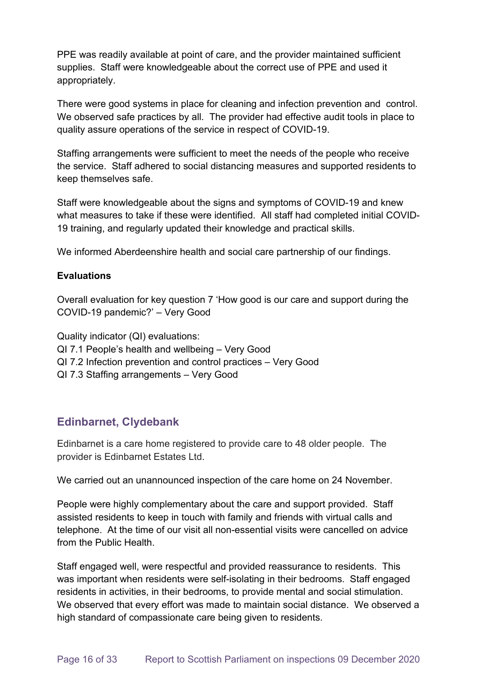PPE was readily available at point of care, and the provider maintained sufficient supplies. Staff were knowledgeable about the correct use of PPE and used it appropriately.

There were good systems in place for cleaning and infection prevention and control. We observed safe practices by all. The provider had effective audit tools in place to quality assure operations of the service in respect of COVID-19.

Staffing arrangements were sufficient to meet the needs of the people who receive the service. Staff adhered to social distancing measures and supported residents to keep themselves safe.

Staff were knowledgeable about the signs and symptoms of COVID-19 and knew what measures to take if these were identified. All staff had completed initial COVID-19 training, and regularly updated their knowledge and practical skills.

We informed Aberdeenshire health and social care partnership of our findings.

#### **Evaluations**

Overall evaluation for key question 7 'How good is our care and support during the COVID-19 pandemic?' – Very Good

Quality indicator (QI) evaluations: QI 7.1 People's health and wellbeing – Very Good QI 7.2 Infection prevention and control practices – Very Good QI 7.3 Staffing arrangements – Very Good

# **Edinbarnet, Clydebank**

Edinbarnet is a care home registered to provide care to 48 older people. The provider is Edinbarnet Estates Ltd.

We carried out an unannounced inspection of the care home on 24 November.

People were highly complementary about the care and support provided. Staff assisted residents to keep in touch with family and friends with virtual calls and telephone. At the time of our visit all non-essential visits were cancelled on advice from the Public Health.

Staff engaged well, were respectful and provided reassurance to residents. This was important when residents were self-isolating in their bedrooms. Staff engaged residents in activities, in their bedrooms, to provide mental and social stimulation. We observed that every effort was made to maintain social distance. We observed a high standard of compassionate care being given to residents.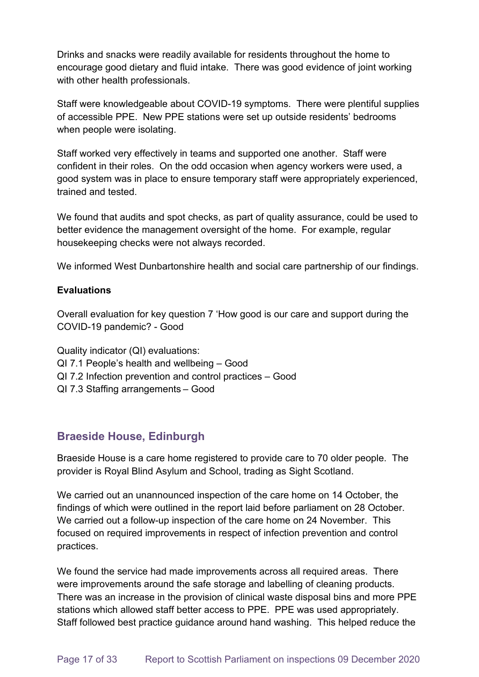Drinks and snacks were readily available for residents throughout the home to encourage good dietary and fluid intake. There was good evidence of joint working with other health professionals.

Staff were knowledgeable about COVID-19 symptoms. There were plentiful supplies of accessible PPE. New PPE stations were set up outside residents' bedrooms when people were isolating.

Staff worked very effectively in teams and supported one another. Staff were confident in their roles. On the odd occasion when agency workers were used, a good system was in place to ensure temporary staff were appropriately experienced, trained and tested.

We found that audits and spot checks, as part of quality assurance, could be used to better evidence the management oversight of the home. For example, regular housekeeping checks were not always recorded.

We informed West Dunbartonshire health and social care partnership of our findings.

#### **Evaluations**

Overall evaluation for key question 7 'How good is our care and support during the COVID-19 pandemic? - Good

Quality indicator (QI) evaluations:

- QI 7.1 People's health and wellbeing Good
- QI 7.2 Infection prevention and control practices Good
- QI 7.3 Staffing arrangements – Good

# **Braeside House, Edinburgh**

Braeside House is a care home registered to provide care to 70 older people. The provider is Royal Blind Asylum and School, trading as Sight Scotland.

We carried out an unannounced inspection of the care home on 14 October, the findings of which were outlined in the report laid before parliament on 28 October. We carried out a follow-up inspection of the care home on 24 November. This focused on required improvements in respect of infection prevention and control practices.

We found the service had made improvements across all required areas. There were improvements around the safe storage and labelling of cleaning products. There was an increase in the provision of clinical waste disposal bins and more PPE stations which allowed staff better access to PPE. PPE was used appropriately. Staff followed best practice guidance around hand washing. This helped reduce the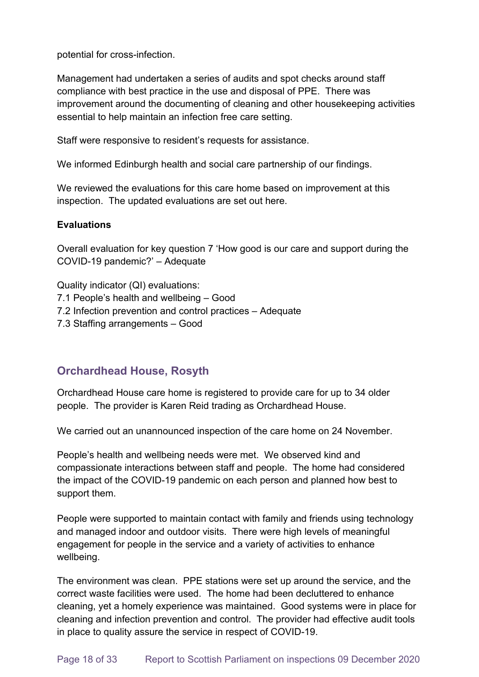potential for cross-infection.

Management had undertaken a series of audits and spot checks around staff compliance with best practice in the use and disposal of PPE. There was improvement around the documenting of cleaning and other housekeeping activities essential to help maintain an infection free care setting.

Staff were responsive to resident's requests for assistance.

We informed Edinburgh health and social care partnership of our findings.

We reviewed the evaluations for this care home based on improvement at this inspection. The updated evaluations are set out here.

#### **Evaluations**

Overall evaluation for key question 7 'How good is our care and support during the COVID-19 pandemic?' – Adequate

Quality indicator (QI) evaluations: 7.1 People's health and wellbeing – Good 7.2 Infection prevention and control practices – Adequate 7.3 Staffing arrangements – Good

# **Orchardhead House, Rosyth**

Orchardhead House care home is registered to provide care for up to 34 older people. The provider is Karen Reid trading as Orchardhead House.

We carried out an unannounced inspection of the care home on 24 November.

People's health and wellbeing needs were met. We observed kind and compassionate interactions between staff and people. The home had considered the impact of the COVID-19 pandemic on each person and planned how best to support them.

People were supported to maintain contact with family and friends using technology and managed indoor and outdoor visits. There were high levels of meaningful engagement for people in the service and a variety of activities to enhance wellbeing.

The environment was clean. PPE stations were set up around the service, and the correct waste facilities were used. The home had been decluttered to enhance cleaning, yet a homely experience was maintained. Good systems were in place for cleaning and infection prevention and control. The provider had effective audit tools in place to quality assure the service in respect of COVID-19.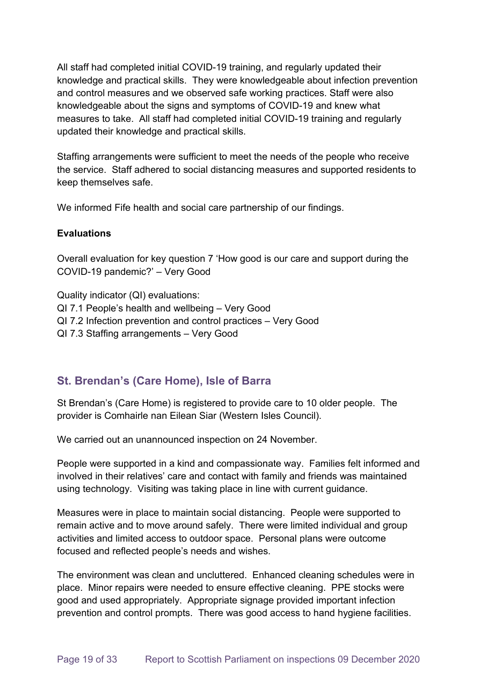All staff had completed initial COVID-19 training, and regularly updated their knowledge and practical skills. They were knowledgeable about infection prevention and control measures and we observed safe working practices. Staff were also knowledgeable about the signs and symptoms of COVID-19 and knew what measures to take. All staff had completed initial COVID-19 training and regularly updated their knowledge and practical skills.

Staffing arrangements were sufficient to meet the needs of the people who receive the service. Staff adhered to social distancing measures and supported residents to keep themselves safe.

We informed Fife health and social care partnership of our findings.

#### **Evaluations**

Overall evaluation for key question 7 'How good is our care and support during the COVID-19 pandemic?' – Very Good

Quality indicator (QI) evaluations: QI 7.1 People's health and wellbeing – Very Good QI 7.2 Infection prevention and control practices – Very Good QI 7.3 Staffing arrangements – Very Good

# **St. Brendan's (Care Home), Isle of Barra**

St Brendan's (Care Home) is registered to provide care to 10 older people. The provider is Comhairle nan Eilean Siar (Western Isles Council).

We carried out an unannounced inspection on 24 November.

People were supported in a kind and compassionate way. Families felt informed and involved in their relatives' care and contact with family and friends was maintained using technology. Visiting was taking place in line with current guidance.

Measures were in place to maintain social distancing. People were supported to remain active and to move around safely. There were limited individual and group activities and limited access to outdoor space. Personal plans were outcome focused and reflected people's needs and wishes.

The environment was clean and uncluttered. Enhanced cleaning schedules were in place. Minor repairs were needed to ensure effective cleaning. PPE stocks were good and used appropriately. Appropriate signage provided important infection prevention and control prompts. There was good access to hand hygiene facilities.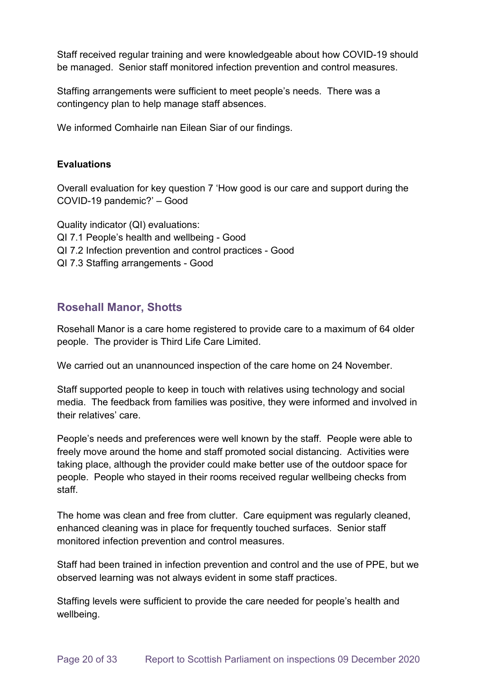Staff received regular training and were knowledgeable about how COVID-19 should be managed. Senior staff monitored infection prevention and control measures.

Staffing arrangements were sufficient to meet people's needs. There was a contingency plan to help manage staff absences.

We informed Comhairle nan Eilean Siar of our findings.

#### **Evaluations**

Overall evaluation for key question 7 'How good is our care and support during the COVID-19 pandemic?' – Good

Quality indicator (QI) evaluations: QI 7.1 People's health and wellbeing - Good QI 7.2 Infection prevention and control practices - Good QI 7.3 Staffing arrangements - Good

# **Rosehall Manor, Shotts**

Rosehall Manor is a care home registered to provide care to a maximum of 64 older people. The provider is Third Life Care Limited.

We carried out an unannounced inspection of the care home on 24 November.

Staff supported people to keep in touch with relatives using technology and social media. The feedback from families was positive, they were informed and involved in their relatives' care.

People's needs and preferences were well known by the staff. People were able to freely move around the home and staff promoted social distancing. Activities were taking place, although the provider could make better use of the outdoor space for people. People who stayed in their rooms received regular wellbeing checks from staff.

The home was clean and free from clutter. Care equipment was regularly cleaned, enhanced cleaning was in place for frequently touched surfaces. Senior staff monitored infection prevention and control measures.

Staff had been trained in infection prevention and control and the use of PPE, but we observed learning was not always evident in some staff practices.

Staffing levels were sufficient to provide the care needed for people's health and wellbeing.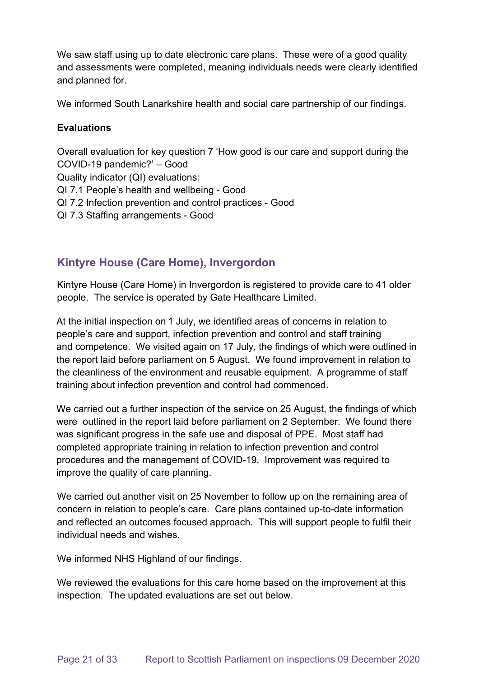We saw staff using up to date electronic care plans. These were of a good quality and assessments were completed, meaning individuals needs were clearly identified and planned for.

We informed South Lanarkshire health and social care partnership of our findings.

#### **Evaluations**

Overall evaluation for key question 7 'How good is our care and support during the COVID-19 pandemic?' – Good Quality indicator (QI) evaluations: QI 7.1 People's health and wellbeing - Good QI 7.2 Infection prevention and control practices - Good QI 7.3 Staffing arrangements - Good

# **Kintyre House (Care Home), Invergordon**

Kintyre House (Care Home) in Invergordon is registered to provide care to 41 older people. The service is operated by Gate Healthcare Limited.

At the initial inspection on 1 July, we identified areas of concerns in relation to people's care and support, infection prevention and control and staff training and competence. We visited again on 17 July, the findings of which were outlined in the report laid before parliament on 5 August. We found improvement in relation to the cleanliness of the environment and reusable equipment. A programme of staff training about infection prevention and control had commenced.

We carried out a further inspection of the service on 25 August, the findings of which were outlined in the report laid before parliament on 2 September. We found there was significant progress in the safe use and disposal of PPE. Most staff had completed appropriate training in relation to infection prevention and control procedures and the management of COVID-19. Improvement was required to improve the quality of care planning.

We carried out another visit on 25 November to follow up on the remaining area of concern in relation to people's care. Care plans contained up-to-date information and reflected an outcomes focused approach. This will support people to fulfil their individual needs and wishes.

We informed NHS Highland of our findings.

We reviewed the evaluations for this care home based on the improvement at this inspection. The updated evaluations are set out below.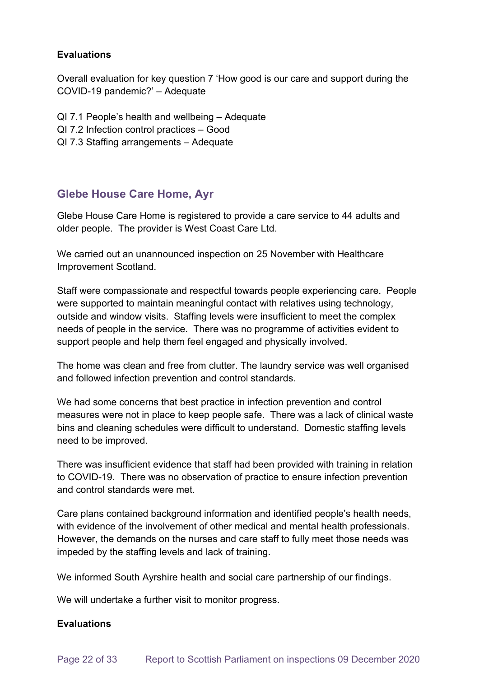#### **Evaluations**

Overall evaluation for key question 7 'How good is our care and support during the COVID-19 pandemic?' – Adequate

- QI 7.1 People's health and wellbeing Adequate
- QI 7.2 Infection control practices Good
- QI 7.3 Staffing arrangements Adequate

### **Glebe House Care Home, Ayr**

Glebe House Care Home is registered to provide a care service to 44 adults and older people. The provider is West Coast Care Ltd.

We carried out an unannounced inspection on 25 November with Healthcare Improvement Scotland.

Staff were compassionate and respectful towards people experiencing care. People were supported to maintain meaningful contact with relatives using technology, outside and window visits. Staffing levels were insufficient to meet the complex needs of people in the service. There was no programme of activities evident to support people and help them feel engaged and physically involved.

The home was clean and free from clutter. The laundry service was well organised and followed infection prevention and control standards.

We had some concerns that best practice in infection prevention and control measures were not in place to keep people safe. There was a lack of clinical waste bins and cleaning schedules were difficult to understand. Domestic staffing levels need to be improved.

There was insufficient evidence that staff had been provided with training in relation to COVID-19. There was no observation of practice to ensure infection prevention and control standards were met.

Care plans contained background information and identified people's health needs, with evidence of the involvement of other medical and mental health professionals. However, the demands on the nurses and care staff to fully meet those needs was impeded by the staffing levels and lack of training.

We informed South Ayrshire health and social care partnership of our findings.

We will undertake a further visit to monitor progress.

#### **Evaluations**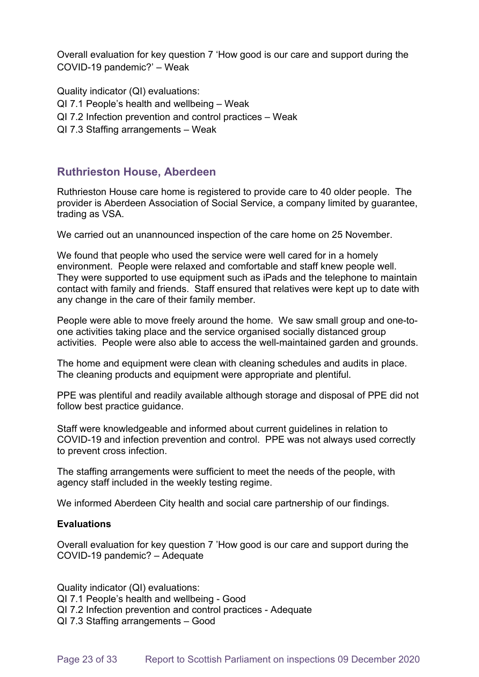Overall evaluation for key question 7 'How good is our care and support during the COVID-19 pandemic?' – Weak

Quality indicator (QI) evaluations:

- QI 7.1 People's health and wellbeing Weak
- QI 7.2 Infection prevention and control practices Weak
- QI 7.3 Staffing arrangements Weak

# **Ruthrieston House, Aberdeen**

Ruthrieston House care home is registered to provide care to 40 older people. The provider is Aberdeen Association of Social Service, a company limited by guarantee, trading as VSA.

We carried out an unannounced inspection of the care home on 25 November.

We found that people who used the service were well cared for in a homely environment. People were relaxed and comfortable and staff knew people well. They were supported to use equipment such as iPads and the telephone to maintain contact with family and friends. Staff ensured that relatives were kept up to date with any change in the care of their family member.

People were able to move freely around the home. We saw small group and one-toone activities taking place and the service organised socially distanced group activities. People were also able to access the well-maintained garden and grounds.

The home and equipment were clean with cleaning schedules and audits in place. The cleaning products and equipment were appropriate and plentiful.

PPE was plentiful and readily available although storage and disposal of PPE did not follow best practice guidance.

Staff were knowledgeable and informed about current guidelines in relation to COVID-19 and infection prevention and control. PPE was not always used correctly to prevent cross infection.

The staffing arrangements were sufficient to meet the needs of the people, with agency staff included in the weekly testing regime.

We informed Aberdeen City health and social care partnership of our findings.

#### **Evaluations**

Overall evaluation for key question 7 'How good is our care and support during the COVID-19 pandemic? – Adequate

Quality indicator (QI) evaluations: QI 7.1 People's health and wellbeing - Good QI 7.2 Infection prevention and control practices - Adequate QI 7.3 Staffing arrangements – Good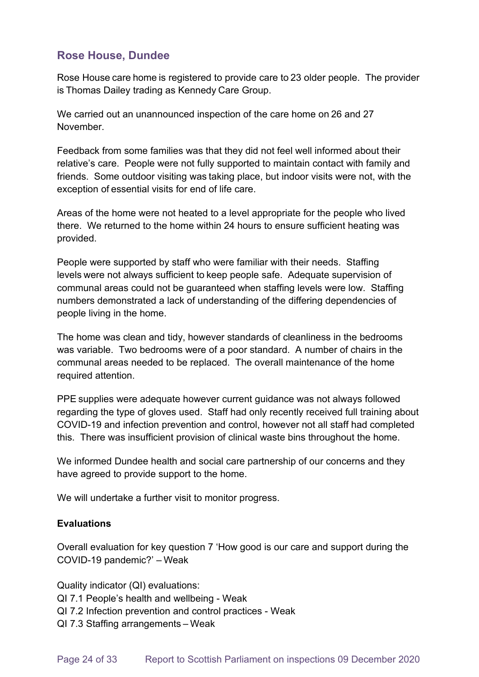# **Rose House, Dundee**

Rose House care home is registered to provide care to 23 older people. The provider is Thomas Dailey trading as Kennedy Care Group.

We carried out an unannounced inspection of the care home on 26 and 27 November.

Feedback from some families was that they did not feel well informed about their relative's care. People were not fully supported to maintain contact with family and friends. Some outdoor visiting was taking place, but indoor visits were not, with the exception of essential visits for end of life care.

Areas of the home were not heated to a level appropriate for the people who lived there. We returned to the home within 24 hours to ensure sufficient heating was provided.

People were supported by staff who were familiar with their needs. Staffing levels were not always sufficient to keep people safe. Adequate supervision of communal areas could not be guaranteed when staffing levels were low. Staffing numbers demonstrated a lack of understanding of the differing dependencies of people living in the home. 

The home was clean and tidy, however standards of cleanliness in the bedrooms was variable. Two bedrooms were of a poor standard. A number of chairs in the communal areas needed to be replaced. The overall maintenance of the home required attention.

PPE supplies were adequate however current guidance was not always followed regarding the type of gloves used. Staff had only recently received full training about COVID-19 and infection prevention and control, however not all staff had completed this. There was insufficient provision of clinical waste bins throughout the home.

We informed Dundee health and social care partnership of our concerns and they have agreed to provide support to the home.

We will undertake a further visit to monitor progress.

#### **Evaluations**

Overall evaluation for key question 7 'How good is our care and support during the COVID-19 pandemic?' – Weak

Quality indicator (QI) evaluations:  QI 7.1 People's health and wellbeing - Weak  QI 7.2 Infection prevention and control practices - Weak  QI 7.3 Staffing arrangements – Weak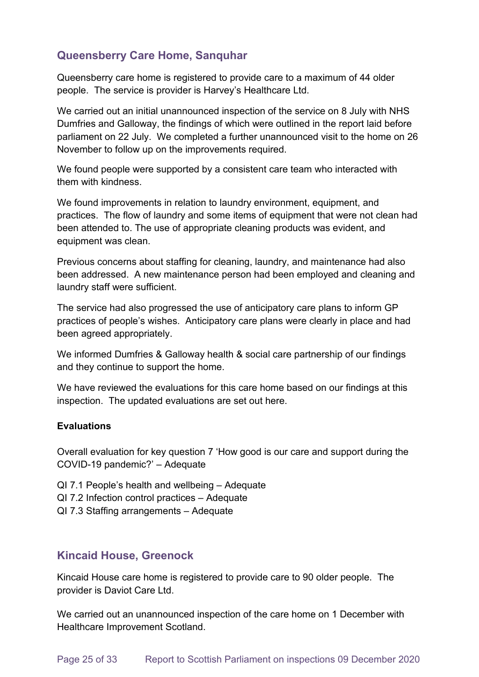# **Queensberry Care Home, Sanquhar**

Queensberry care home is registered to provide care to a maximum of 44 older people. The service is provider is Harvey's Healthcare Ltd.

We carried out an initial unannounced inspection of the service on 8 July with NHS Dumfries and Galloway, the findings of which were outlined in the report laid before parliament on 22 July. We completed a further unannounced visit to the home on 26 November to follow up on the improvements required.

We found people were supported by a consistent care team who interacted with them with kindness.

We found improvements in relation to laundry environment, equipment, and practices. The flow of laundry and some items of equipment that were not clean had been attended to. The use of appropriate cleaning products was evident, and equipment was clean.

Previous concerns about staffing for cleaning, laundry, and maintenance had also been addressed. A new maintenance person had been employed and cleaning and laundry staff were sufficient.

The service had also progressed the use of anticipatory care plans to inform GP practices of people's wishes. Anticipatory care plans were clearly in place and had been agreed appropriately.

We informed Dumfries & Galloway health & social care partnership of our findings and they continue to support the home.

We have reviewed the evaluations for this care home based on our findings at this inspection. The updated evaluations are set out here.

#### **Evaluations**

Overall evaluation for key question 7 'How good is our care and support during the COVID-19 pandemic?' – Adequate

- QI 7.1 People's health and wellbeing Adequate
- QI 7.2 Infection control practices Adequate
- QI 7.3 Staffing arrangements Adequate

### **Kincaid House, Greenock**

Kincaid House care home is registered to provide care to 90 older people. The provider is Daviot Care Ltd.

We carried out an unannounced inspection of the care home on 1 December with Healthcare Improvement Scotland.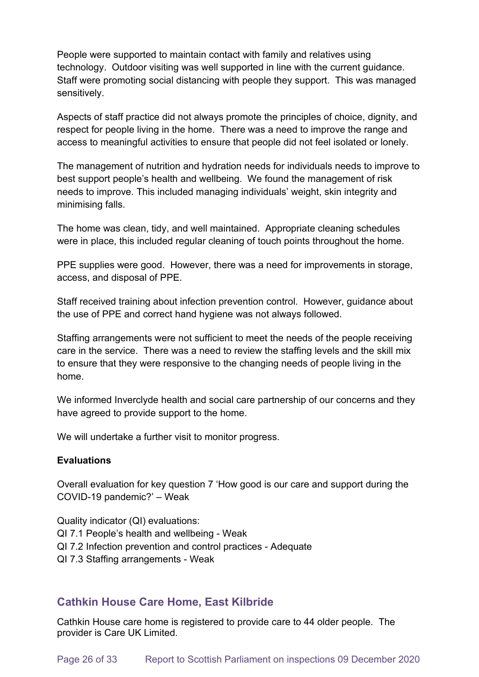People were supported to maintain contact with family and relatives using technology. Outdoor visiting was well supported in line with the current guidance. Staff were promoting social distancing with people they support. This was managed sensitively.

Aspects of staff practice did not always promote the principles of choice, dignity, and respect for people living in the home. There was a need to improve the range and access to meaningful activities to ensure that people did not feel isolated or lonely.

The management of nutrition and hydration needs for individuals needs to improve to best support people's health and wellbeing. We found the management of risk needs to improve. This included managing individuals' weight, skin integrity and minimising falls.

The home was clean, tidy, and well maintained. Appropriate cleaning schedules were in place, this included regular cleaning of touch points throughout the home.

PPE supplies were good. However, there was a need for improvements in storage, access, and disposal of PPE.

Staff received training about infection prevention control. However, guidance about the use of PPE and correct hand hygiene was not always followed.

Staffing arrangements were not sufficient to meet the needs of the people receiving care in the service. There was a need to review the staffing levels and the skill mix to ensure that they were responsive to the changing needs of people living in the home.

We informed Inverclyde health and social care partnership of our concerns and they have agreed to provide support to the home.

We will undertake a further visit to monitor progress.

#### **Evaluations**

Overall evaluation for key question 7 'How good is our care and support during the COVID-19 pandemic?' – Weak

Quality indicator (QI) evaluations: QI 7.1 People's health and wellbeing - Weak QI 7.2 Infection prevention and control practices - Adequate QI 7.3 Staffing arrangements - Weak

# **Cathkin House Care Home, East Kilbride**

Cathkin House care home is registered to provide care to 44 older people. The provider is Care UK Limited.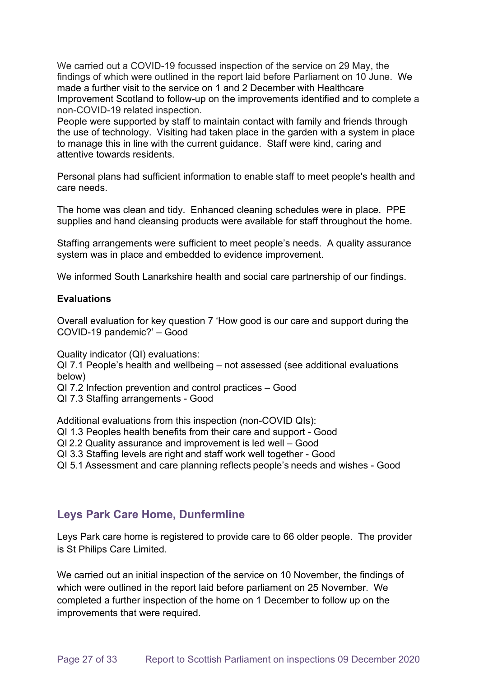We carried out a COVID-19 focussed inspection of the service on 29 May, the findings of which were outlined in the report laid before Parliament on 10 June. We made a further visit to the service on 1 and 2 December with Healthcare Improvement Scotland to follow-up on the improvements identified and to complete a non-COVID-19 related inspection.

People were supported by staff to maintain contact with family and friends through the use of technology. Visiting had taken place in the garden with a system in place to manage this in line with the current guidance. Staff were kind, caring and attentive towards residents.

Personal plans had sufficient information to enable staff to meet people's health and care needs.

The home was clean and tidy. Enhanced cleaning schedules were in place. PPE supplies and hand cleansing products were available for staff throughout the home.

Staffing arrangements were sufficient to meet people's needs. A quality assurance system was in place and embedded to evidence improvement.

We informed South Lanarkshire health and social care partnership of our findings.

#### **Evaluations**

Overall evaluation for key question 7 'How good is our care and support during the COVID-19 pandemic?' – Good

Quality indicator (QI) evaluations:

QI 7.1 People's health and wellbeing – not assessed (see additional evaluations below)

- QI 7.2 Infection prevention and control practices Good
- QI 7.3 Staffing arrangements Good

Additional evaluations from this inspection (non-COVID QIs):

QI 1.3 Peoples health benefits from their care and support - Good

QI 2.2 Quality assurance and improvement is led well – Good

QI 3.3 Staffing levels are right and staff work well together - Good

QI 5.1 Assessment and care planning reflects people's needs and wishes - Good

### **Leys Park Care Home, Dunfermline**

Leys Park care home is registered to provide care to 66 older people. The provider is St Philips Care Limited.

We carried out an initial inspection of the service on 10 November, the findings of which were outlined in the report laid before parliament on 25 November. We completed a further inspection of the home on 1 December to follow up on the improvements that were required.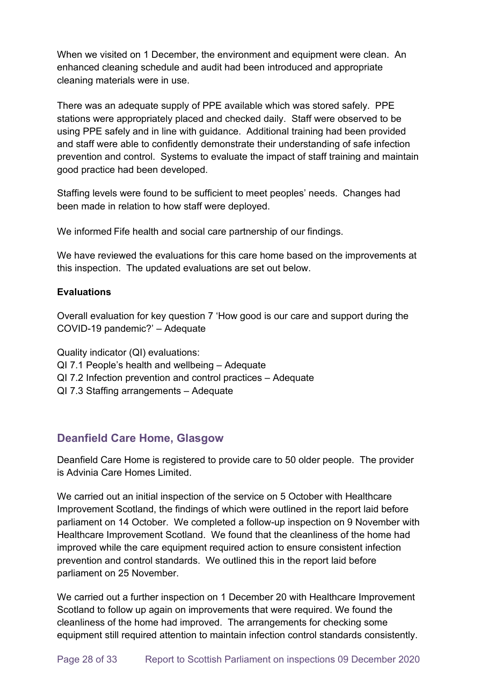When we visited on 1 December, the environment and equipment were clean. An enhanced cleaning schedule and audit had been introduced and appropriate cleaning materials were in use.

There was an adequate supply of PPE available which was stored safely. PPE stations were appropriately placed and checked daily. Staff were observed to be using PPE safely and in line with guidance. Additional training had been provided and staff were able to confidently demonstrate their understanding of safe infection prevention and control. Systems to evaluate the impact of staff training and maintain good practice had been developed.

Staffing levels were found to be sufficient to meet peoples' needs. Changes had been made in relation to how staff were deployed.

We informed Fife health and social care partnership of our findings.

We have reviewed the evaluations for this care home based on the improvements at this inspection. The updated evaluations are set out below.

#### **Evaluations**

Overall evaluation for key question 7 'How good is our care and support during the COVID-19 pandemic?' – Adequate

Quality indicator (QI) evaluations:

- QI 7.1 People's health and wellbeing Adequate
- QI 7.2 Infection prevention and control practices Adequate
- QI 7.3 Staffing arrangements Adequate

### **Deanfield Care Home, Glasgow**

Deanfield Care Home is registered to provide care to 50 older people. The provider is Advinia Care Homes Limited.

We carried out an initial inspection of the service on 5 October with Healthcare Improvement Scotland, the findings of which were outlined in the report laid before parliament on 14 October. We completed a follow-up inspection on 9 November with Healthcare Improvement Scotland. We found that the cleanliness of the home had improved while the care equipment required action to ensure consistent infection prevention and control standards. We outlined this in the report laid before parliament on 25 November.

We carried out a further inspection on 1 December 20 with Healthcare Improvement Scotland to follow up again on improvements that were required. We found the cleanliness of the home had improved. The arrangements for checking some equipment still required attention to maintain infection control standards consistently.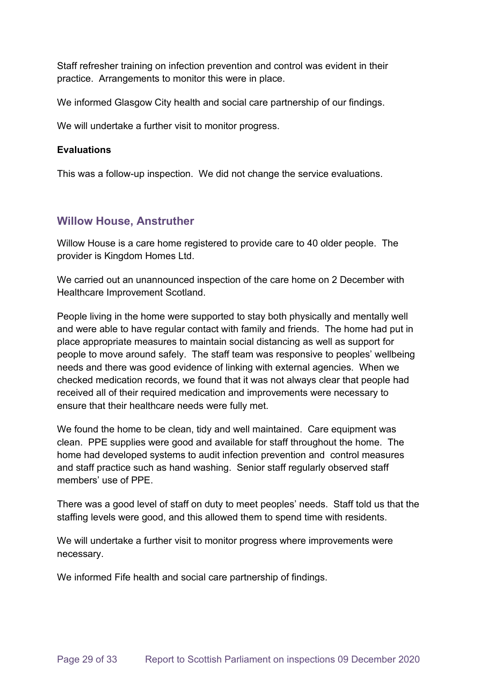Staff refresher training on infection prevention and control was evident in their practice. Arrangements to monitor this were in place.

We informed Glasgow City health and social care partnership of our findings.

We will undertake a further visit to monitor progress.

#### **Evaluations**

This was a follow-up inspection. We did not change the service evaluations.

### **Willow House, Anstruther**

Willow House is a care home registered to provide care to 40 older people. The provider is Kingdom Homes Ltd.

We carried out an unannounced inspection of the care home on 2 December with Healthcare Improvement Scotland.

People living in the home were supported to stay both physically and mentally well and were able to have regular contact with family and friends. The home had put in place appropriate measures to maintain social distancing as well as support for people to move around safely. The staff team was responsive to peoples' wellbeing needs and there was good evidence of linking with external agencies. When we checked medication records, we found that it was not always clear that people had received all of their required medication and improvements were necessary to ensure that their healthcare needs were fully met.

We found the home to be clean, tidy and well maintained. Care equipment was clean. PPE supplies were good and available for staff throughout the home. The home had developed systems to audit infection prevention and control measures and staff practice such as hand washing. Senior staff regularly observed staff members' use of PPE.

There was a good level of staff on duty to meet peoples' needs. Staff told us that the staffing levels were good, and this allowed them to spend time with residents.

We will undertake a further visit to monitor progress where improvements were necessary.

We informed Fife health and social care partnership of findings.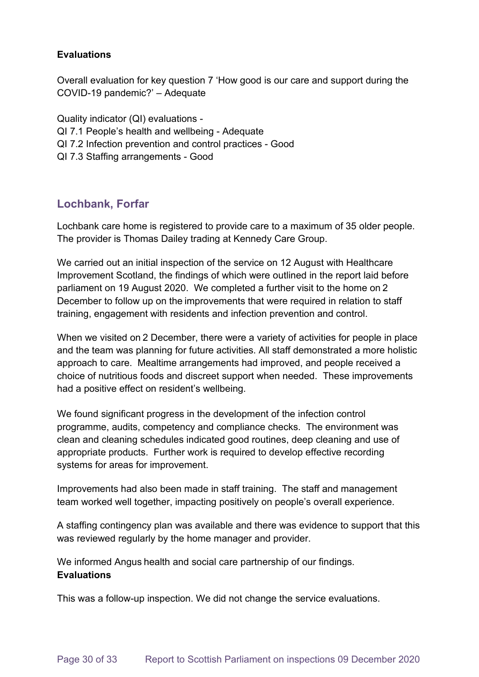#### **Evaluations**

Overall evaluation for key question 7 'How good is our care and support during the COVID-19 pandemic?' – Adequate

Quality indicator (QI) evaluations - QI 7.1 People's health and wellbeing - Adequate QI 7.2 Infection prevention and control practices - Good QI 7.3 Staffing arrangements - Good

# **Lochbank, Forfar**

Lochbank care home is registered to provide care to a maximum of 35 older people. The provider is Thomas Dailey trading at Kennedy Care Group.

We carried out an initial inspection of the service on 12 August with Healthcare Improvement Scotland, the findings of which were outlined in the report laid before parliament on 19 August 2020. We completed a further visit to the home on 2 December to follow up on the improvements that were required in relation to staff training, engagement with residents and infection prevention and control.

When we visited on 2 December, there were a variety of activities for people in place and the team was planning for future activities. All staff demonstrated a more holistic approach to care. Mealtime arrangements had improved, and people received a choice of nutritious foods and discreet support when needed. These improvements had a positive effect on resident's wellbeing.

We found significant progress in the development of the infection control programme, audits, competency and compliance checks. The environment was clean and cleaning schedules indicated good routines, deep cleaning and use of appropriate products. Further work is required to develop effective recording systems for areas for improvement.

Improvements had also been made in staff training. The staff and management team worked well together, impacting positively on people's overall experience.

A staffing contingency plan was available and there was evidence to support that this was reviewed regularly by the home manager and provider.

We informed Angus health and social care partnership of our findings. **Evaluations**

This was a follow-up inspection. We did not change the service evaluations.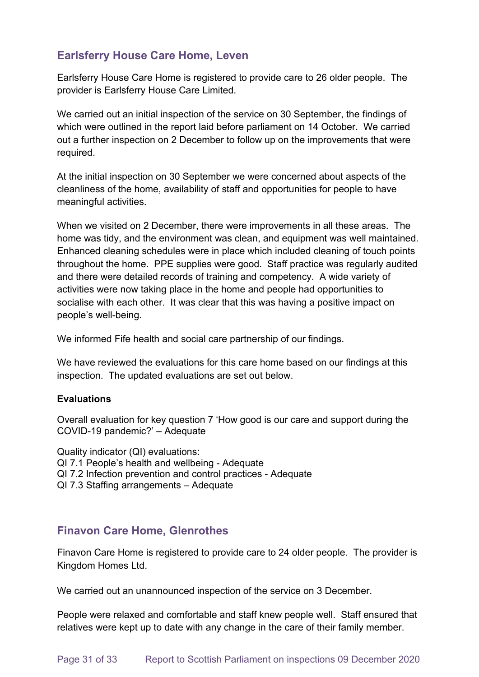# **Earlsferry House Care Home, Leven**

Earlsferry House Care Home is registered to provide care to 26 older people. The provider is Earlsferry House Care Limited.

We carried out an initial inspection of the service on 30 September, the findings of which were outlined in the report laid before parliament on 14 October. We carried out a further inspection on 2 December to follow up on the improvements that were required.

At the initial inspection on 30 September we were concerned about aspects of the cleanliness of the home, availability of staff and opportunities for people to have meaningful activities.

When we visited on 2 December, there were improvements in all these areas. The home was tidy, and the environment was clean, and equipment was well maintained. Enhanced cleaning schedules were in place which included cleaning of touch points throughout the home. PPE supplies were good. Staff practice was regularly audited and there were detailed records of training and competency. A wide variety of activities were now taking place in the home and people had opportunities to socialise with each other. It was clear that this was having a positive impact on people's well-being.

We informed Fife health and social care partnership of our findings.

We have reviewed the evaluations for this care home based on our findings at this inspection. The updated evaluations are set out below.

#### **Evaluations**

Overall evaluation for key question 7 'How good is our care and support during the COVID-19 pandemic?' – Adequate

Quality indicator (QI) evaluations: QI 7.1 People's health and wellbeing - Adequate QI 7.2 Infection prevention and control practices - Adequate QI 7.3 Staffing arrangements – Adequate

# **Finavon Care Home, Glenrothes**

Finavon Care Home is registered to provide care to 24 older people. The provider is Kingdom Homes Ltd.

We carried out an unannounced inspection of the service on 3 December.

People were relaxed and comfortable and staff knew people well. Staff ensured that relatives were kept up to date with any change in the care of their family member.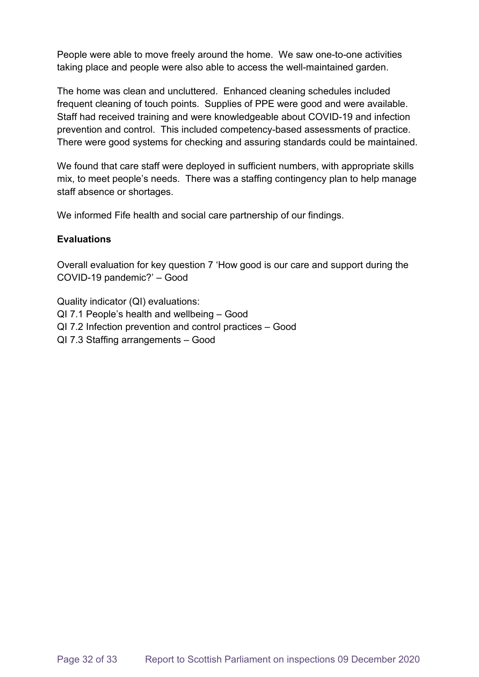People were able to move freely around the home. We saw one-to-one activities taking place and people were also able to access the well-maintained garden.

The home was clean and uncluttered. Enhanced cleaning schedules included frequent cleaning of touch points. Supplies of PPE were good and were available. Staff had received training and were knowledgeable about COVID-19 and infection prevention and control. This included competency-based assessments of practice. There were good systems for checking and assuring standards could be maintained.

We found that care staff were deployed in sufficient numbers, with appropriate skills mix, to meet people's needs. There was a staffing contingency plan to help manage staff absence or shortages.

We informed Fife health and social care partnership of our findings.

#### **Evaluations**

Overall evaluation for key question 7 'How good is our care and support during the COVID-19 pandemic?' – Good

Quality indicator (QI) evaluations: QI 7.1 People's health and wellbeing – Good QI 7.2 Infection prevention and control practices – Good QI 7.3 Staffing arrangements – Good